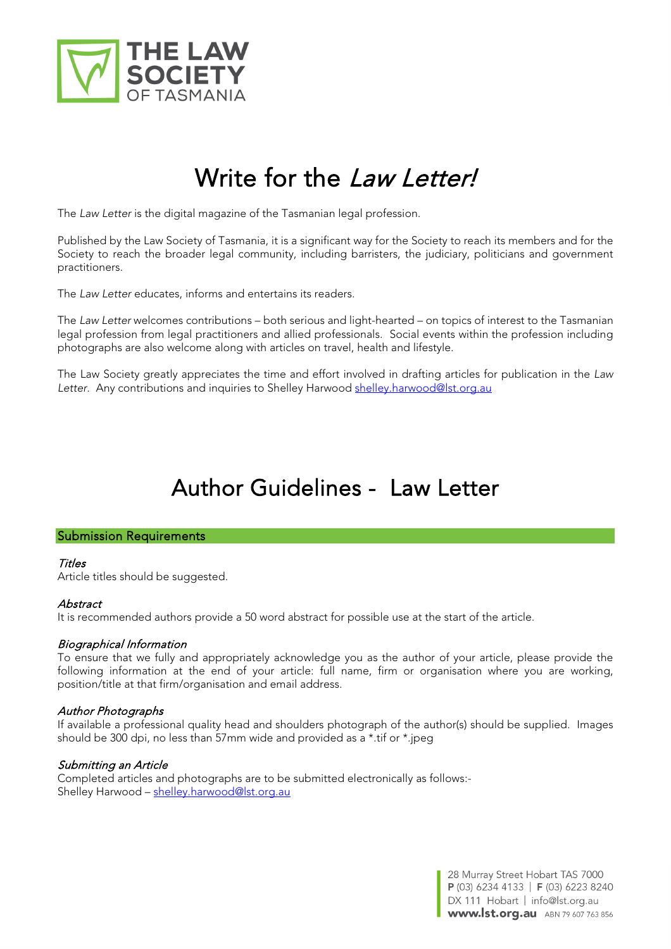

# Write for the *Law Letter!*

The *Law Letter* is the digital magazine of the Tasmanian legal profession.

Published by the Law Society of Tasmania, it is a significant way for the Society to reach its members and for the Society to reach the broader legal community, including barristers, the judiciary, politicians and government practitioners.

The *Law Letter* educates, informs and entertains its readers.

The *Law Letter* welcomes contributions – both serious and light-hearted – on topics of interest to the Tasmanian legal profession from legal practitioners and allied professionals. Social events within the profession including photographs are also welcome along with articles on travel, health and lifestyle.

The Law Society greatly appreciates the time and effort involved in drafting articles for publication in the *Law*  Letter. Any contributions and inquiries to Shelley Harwood [shelley.harwood@lst.org.au](mailto:shelley.harwood@lst.org.au)

# Author Guidelines - Law Letter

#### Submission Requirements

# **Titles**

Article titles should be suggested.

# **Abstract**

It is recommended authors provide a 50 word abstract for possible use at the start of the article.

# Biographical Information

To ensure that we fully and appropriately acknowledge you as the author of your article, please provide the following information at the end of your article: full name, firm or organisation where you are working, position/title at that firm/organisation and email address.

# Author Photographs

If available a professional quality head and shoulders photograph of the author(s) should be supplied. Images should be 300 dpi, no less than 57mm wide and provided as a \*.tif or \*.jpeg

# Submitting an Article

Completed articles and photographs are to be submitted electronically as follows: Shelley Harwood - [shelley.harwood@lst.org.au](mailto:shelley.harwood@lst.org.au)

> 28 Murray Street Hobart TAS 7000 P (03) 6234 4133 | F (03) 6223 8240 DX 111 Hobart | info@lst.org.au **www.lst.org.au** ABN 79 607 763 856